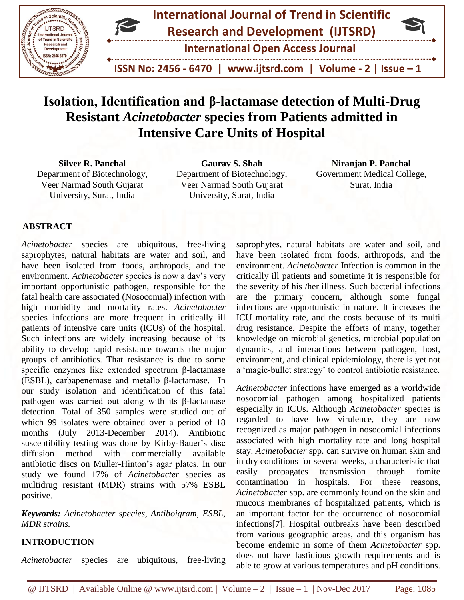



 **ISSN No: 2456 - 6470 | www.ijtsrd.com | Volume - 2 | Issue – 1**

# **Isolation, Identification and β-lactamase detection of Multi-Drug Resistant** *Acinetobacter* **species from Patients admitted in Intensive Care Units of Hospital**

**Silver R. Panchal** Department of Biotechnology, Veer Narmad South Gujarat University, Surat, India

**Gaurav S. Shah** Department of Biotechnology, Veer Narmad South Gujarat University, Surat, India

**Niranjan P. Panchal**  Government Medical College, Surat, India

#### **ABSTRACT**

*Acinetobacter* species are ubiquitous, free-living saprophytes, natural habitats are water and soil, and have been isolated from foods, arthropods, and the environment. *Acinetobacter* species is now a day's very important opportunistic pathogen, responsible for the fatal health care associated (Nosocomial) infection with high morbidity and mortality rates. *Acinetobacter* species infections are more frequent in critically ill patients of intensive care units (ICUs) of the hospital. Such infections are widely increasing because of its ability to develop rapid resistance towards the major groups of antibiotics. That resistance is due to some specific enzymes like extended spectrum β-lactamase (ESBL), carbapenemase and metallo β-lactamase. In our study isolation and identification of this fatal pathogen was carried out along with its β-lactamase detection. Total of 350 samples were studied out of which 99 isolates were obtained over a period of 18 months (July 2013-December 2014). Antibiotic susceptibility testing was done by Kirby-Bauer's disc diffusion method with commercially available antibiotic discs on Muller-Hinton's agar plates. In our study we found 17% of *Acinetobacter* species as multidrug resistant (MDR) strains with 57% ESBL positive.

*Keywords: Acinetobacter species, Antiboigram, ESBL, MDR strains.*

#### **INTRODUCTION**

*Acinetobacter* species are ubiquitous, free-living

saprophytes, natural habitats are water and soil, and have been isolated from foods, arthropods, and the environment. *Acinetobacter* Infection is common in the critically ill patients and sometime it is responsible for the severity of his /her illness. Such bacterial infections are the primary concern, although some fungal infections are opportunistic in nature. It increases the ICU mortality rate, and the costs because of its multi drug resistance. Despite the efforts of many, together knowledge on microbial genetics, microbial population dynamics, and interactions between pathogen, host, environment, and clinical epidemiology, there is yet not a 'magic-bullet strategy' to control antibiotic resistance.

*Acinetobacter* infections have emerged as a worldwide nosocomial pathogen among hospitalized patients especially in ICUs. Although *Acinetobacter* species is regarded to have low virulence, they are now recognized as major pathogen in nosocomial infections associated with high mortality rate and long hospital stay. *Acinetobacter* spp. can survive on human skin and in dry conditions for several weeks, a characteristic that easily propagates transmission through fomite contamination in hospitals. For these reasons, *Acinetobacter* spp. are commonly found on the skin and mucous membranes of hospitalized patients, which is an important factor for the occurrence of nosocomial infections[7]. Hospital outbreaks have been described from various geographic areas, and this organism has become endemic in some of them *Acinetobacter* spp. does not have fastidious growth requirements and is able to grow at various temperatures and pH conditions.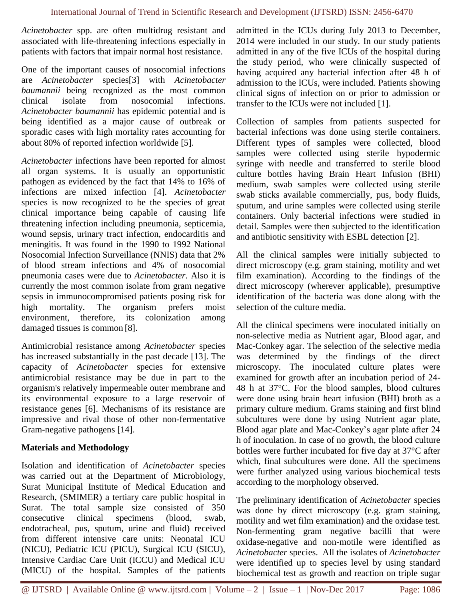*Acinetobacter* spp. are often multidrug resistant and associated with life-threatening infections especially in patients with factors that impair normal host resistance.

One of the important causes of nosocomial infections are *Acinetobacter* species[3] with *Acinetobacter baumannii* being recognized as the most common clinical isolate from nosocomial infections. *Acinetobacter baumannii* has epidemic potential and is being identified as a major cause of outbreak or sporadic cases with high mortality rates accounting for about 80% of reported infection worldwide [5].

*Acinetobacter* infections have been reported for almost all organ systems. It is usually an opportunistic pathogen as evidenced by the fact that 14% to 16% of infections are mixed infection [4]. *Acinetobacter* species is now recognized to be the species of great clinical importance being capable of causing life threatening infection including pneumonia, septicemia, wound sepsis, urinary tract infection, endocarditis and meningitis. It was found in the 1990 to 1992 National Nosocomial Infection Surveillance (NNIS) data that 2% of blood stream infections and 4% of nosocomial pneumonia cases were due to *Acinetobacter*. Also it is currently the most common isolate from gram negative sepsis in immunocompromised patients posing risk for high mortality. The organism prefers moist environment, therefore, its colonization among damaged tissues is common [8].

Antimicrobial resistance among *Acinetobacter* species has increased substantially in the past decade [13]. The capacity of *Acinetobacter* species for extensive antimicrobial resistance may be due in part to the organism's relatively impermeable outer membrane and its environmental exposure to a large reservoir of resistance genes [6]. Mechanisms of its resistance are impressive and rival those of other non-fermentative Gram-negative pathogens [14].

## **Materials and Methodology**

Isolation and identification of *Acinetobacter* species was carried out at the Department of Microbiology, Surat Municipal Institute of Medical Education and Research, (SMIMER) a tertiary care public hospital in Surat. The total sample size consisted of 350 consecutive clinical specimens (blood, swab, endotracheal, pus, sputum, urine and fluid) received from different intensive care units: Neonatal ICU (NICU), Pediatric ICU (PICU), Surgical ICU (SICU), Intensive Cardiac Care Unit (ICCU) and Medical ICU (MICU) of the hospital. Samples of the patients

admitted in the ICUs during July 2013 to December, 2014 were included in our study. In our study patients admitted in any of the five ICUs of the hospital during the study period, who were clinically suspected of having acquired any bacterial infection after 48 h of admission to the ICUs, were included. Patients showing clinical signs of infection on or prior to admission or transfer to the ICUs were not included [1].

Collection of samples from patients suspected for bacterial infections was done using sterile containers. Different types of samples were collected, blood samples were collected using sterile hypodermic syringe with needle and transferred to sterile blood culture bottles having Brain Heart Infusion (BHI) medium, swab samples were collected using sterile swab sticks available commercially, pus, body fluids, sputum, and urine samples were collected using sterile containers. Only bacterial infections were studied in detail. Samples were then subjected to the identification and antibiotic sensitivity with ESBL detection [2].

All the clinical samples were initially subjected to direct microscopy (e.g. gram staining, motility and wet film examination). According to the findings of the direct microscopy (wherever applicable), presumptive identification of the bacteria was done along with the selection of the culture media.

All the clinical specimens were inoculated initially on non-selective media as Nutrient agar, Blood agar, and Mac-Conkey agar. The selection of the selective media was determined by the findings of the direct microscopy. The inoculated culture plates were examined for growth after an incubation period of 24- 48 h at 37°C. For the blood samples, blood cultures were done using brain heart infusion (BHI) broth as a primary culture medium. Grams staining and first blind subcultures were done by using Nutrient agar plate, Blood agar plate and Mac-Conkey's agar plate after 24 h of inoculation. In case of no growth, the blood culture bottles were further incubated for five day at 37°C after which, final subcultures were done. All the specimens were further analyzed using various biochemical tests according to the morphology observed.

The preliminary identification of *Acinetobacter* species was done by direct microscopy (e.g. gram staining, motility and wet film examination) and the oxidase test. Non-fermenting gram negative bacilli that were oxidase-negative and non-motile were identified as *Acinetobacter* species. All the isolates of *Acinetobacter* were identified up to species level by using standard biochemical test as growth and reaction on triple sugar

@ IJTSRD | Available Online @ www.ijtsrd.com | Volume – 2 | Issue – 1 | Nov-Dec 2017 Page: 1086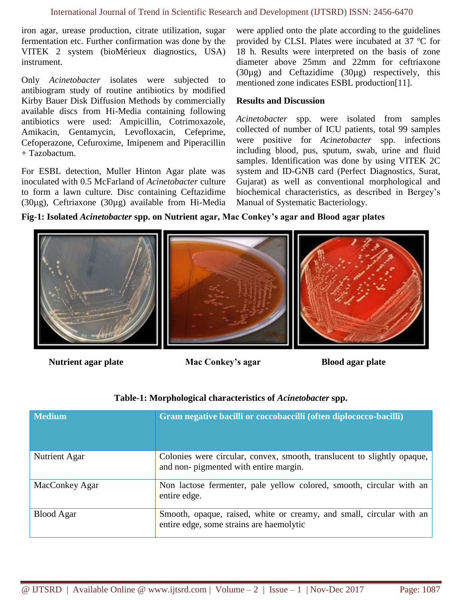iron agar, urease production, citrate utilization, sugar fermentation etc. Further confirmation was done by the VITEK 2 system (bioMérieux diagnostics, USA) instrument.

Only *Acinetobacter* isolates were subjected to antibiogram study of routine antibiotics by modified Kirby Bauer Disk Diffusion Methods by commercially available discs from Hi-Media containing following antibiotics were used: Ampicillin, Cotrimoxazole, Amikacin, Gentamycin, Levofloxacin, Cefeprime, Cefoperazone, Cefuroxime, Imipenem and Piperacillin + Tazobactum.

For ESBL detection, Muller Hinton Agar plate was inoculated with 0.5 McFarland of *Acinetobacter* culture to form a lawn culture. Disc containing Ceftazidime (30µg), Ceftriaxone (30µg) available from Hi-Media

were applied onto the plate according to the guidelines provided by CLSI. Plates were incubated at 37 ºC for 18 h. Results were interpreted on the basis of zone diameter above 25mm and 22mm for ceftriaxone (30µg) and Ceftazidime (30µg) respectively, this mentioned zone indicates ESBL production[11].

#### **Results and Discussion**

*Acinetobacter* spp. were isolated from samples collected of number of ICU patients, total 99 samples were positive for *Acinetobacter* spp. infections including blood, pus, sputum, swab, urine and fluid samples. Identification was done by using VITEK 2C system and ID-GNB card (Perfect Diagnostics, Surat, Gujarat) as well as conventional morphological and biochemical characteristics, as described in Bergey's Manual of Systematic Bacteriology.

#### **Fig-1: Isolated** *Acinetobacter* **spp. on Nutrient agar, Mac Conkey's agar and Blood agar plates**



**Nutrient agar plate Mac Conkey's agar Blood agar plate**

## **Table-1: Morphological characteristics of** *Acinetobacter* **spp.**

| <b>Medium</b>     | Gram negative bacilli or coccobaccilli (often diplococco-bacilli)                                                 |
|-------------------|-------------------------------------------------------------------------------------------------------------------|
| Nutrient Agar     | Colonies were circular, convex, smooth, translucent to slightly opaque,<br>and non- pigmented with entire margin. |
| MacConkey Agar    | Non lactose fermenter, pale yellow colored, smooth, circular with an<br>entire edge.                              |
| <b>Blood Agar</b> | Smooth, opaque, raised, white or creamy, and small, circular with an<br>entire edge, some strains are haemolytic  |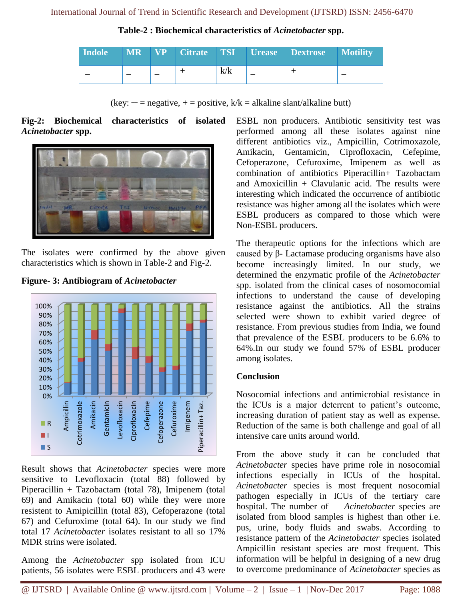**Table-2 : Biochemical characteristics of** *Acinetobacter* **spp.**

| Indole | <b>MR</b> |   | <b>NP</b> Citrate TSI |     | Urease Dextrose | <b>Motility</b> |
|--------|-----------|---|-----------------------|-----|-----------------|-----------------|
|        |           | _ |                       | k/k |                 |                 |

(key:  $-$  = negative,  $+$  = positive, k/k = alkaline slant/alkaline butt)

#### **Fig-2: Biochemical characteristics of isolated**  *Acinetobacter* **spp.**



The isolates were confirmed by the above given characteristics which is shown in Table-2 and Fig-2.



#### **Figure- 3: Antibiogram of** *Acinetobacter*

Result shows that *Acinetobacter* species were more sensitive to Levofloxacin (total 88) followed by Piperacillin + Tazobactam (total 78), Imipenem (total 69) and Amikacin (total 60) while they were more resistent to Amipicillin (total 83), Cefoperazone (total 67) and Cefuroxime (total 64). In our study we find total 17 *Acinetobacter* isolates resistant to all so 17% MDR strins were isolated.

Among the *Acinetobacter* spp isolated from ICU patients, 56 isolates were ESBL producers and 43 were

ESBL non producers. Antibiotic sensitivity test was performed among all these isolates against nine different antibiotics viz., Ampicillin, Cotrimoxazole, Amikacin, Gentamicin, Ciprofloxacin, Cefepime, Cefoperazone, Cefuroxime, Imipenem as well as combination of antibiotics Piperacillin+ Tazobactam and Amoxicillin  $+$  Clavulanic acid. The results were interesting which indicated the occurrence of antibiotic resistance was higher among all the isolates which were ESBL producers as compared to those which were Non-ESBL producers.

The therapeutic options for the infections which are caused by β- Lactamase producing organisms have also become increasingly limited. In our study, we determined the enzymatic profile of the *Acinetobacter* spp. isolated from the clinical cases of nosomocomial infections to understand the cause of developing resistance against the antibiotics. All the strains selected were shown to exhibit varied degree of resistance. From previous studies from India, we found that prevalence of the ESBL producers to be 6.6% to 64%.In our study we found 57% of ESBL producer among isolates.

## **Conclusion**

Nosocomial infections and antimicrobial resistance in the ICUs is a major deterrent to patient's outcome, increasing duration of patient stay as well as expense. Reduction of the same is both challenge and goal of all intensive care units around world.

From the above study it can be concluded that *Acinetobacter* species have prime role in nosocomial infections especially in ICUs of the hospital. *Acinetobacter* species is most frequent nosocomial pathogen especially in ICUs of the tertiary care hospital. The number of *Acinetobacter* species are isolated from blood samples is highest than other i.e. pus, urine, body fluids and swabs. According to resistance pattern of the *Acinetobacter* species isolated Ampicillin resistant species are most frequent. This information will be helpful in designing of a new drug to overcome predominance of *Acinetobacter* species as